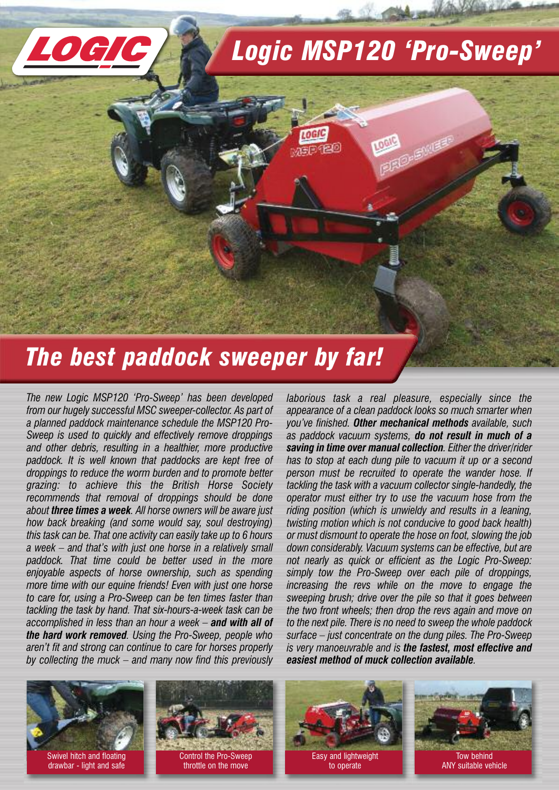# *Logic MSP120 'Pro-Sweep'*

ogic

# *The best paddock sweeper by far!*

*The new Logic MSP120 'Pro-Sweep' has been developed from our hugely successful MSC sweeper-collector. As part of a planned paddock maintenance schedule the MSP120 Pro-Sweep is used to quickly and effectively remove droppings and other debris, resulting in a healthier, more productive paddock. It is well known that paddocks are kept free of droppings to reduce the worm burden and to promote better grazing: to achieve this the British Horse Society recommends that removal of droppings should be done about three times a week. All horse owners will be aware just how back breaking (and some would say, soul destroying) this task can be. That one activity can easily take up to 6 hours a week – and that's with just one horse in a relatively small paddock. That time could be better used in the more enjoyable aspects of horse ownership, such as spending more time with our equine friends! Even with just one horse to care for, using a Pro-Sweep can be ten times faster than tackling the task by hand. That six-hours-a-week task can be accomplished in less than an hour a week – and with all of the hard work removed. Using the Pro-Sweep, people who aren't fit and strong can continue to care for horses properly by collecting the muck – and many now find this previously*

*laborious task a real pleasure, especially since the appearance of a clean paddock looks so much smarter when you've finished. Other mechanical methods available, such as paddock vacuum systems, do not result in much of a saving in time over manual collection. Either the driver/rider has to stop at each dung pile to vacuum it up or a second person must be recruited to operate the wander hose. If tackling the task with a vacuum collector single-handedly, the operator must either try to use the vacuum hose from the riding position (which is unwieldy and results in a leaning, twisting motion which is not conducive to good back health) or must dismount to operate the hose on foot, slowing the job down considerably. Vacuum systems can be effective, but are not nearly as quick or efficient as the Logic Pro-Sweep: simply tow the Pro-Sweep over each pile of droppings, increasing the revs while on the move to engage the sweeping brush; drive over the pile so that it goes between the two front wheels; then drop the revs again and move on to the next pile. There is no need to sweep the whole paddock surface – just concentrate on the dung piles. The Pro-Sweep is very manoeuvrable and is the fastest, most effective and easiest method of muck collection available.*



LOGIC

Swivel hitch and floating drawbar - light and safe





to operate



Tow behind ANY suitable vehicle